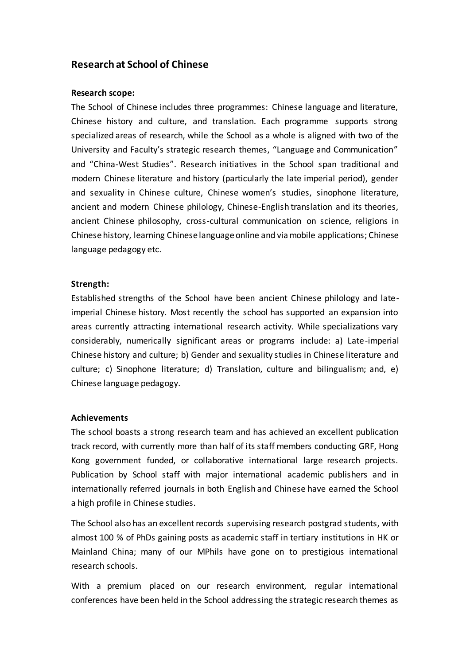## **Research at School of Chinese**

## **Research scope:**

The School of Chinese includes three programmes: Chinese language and literature, Chinese history and culture, and translation. Each programme supports strong specialized areas of research, while the School as a whole is aligned with two of the University and Faculty's strategic research themes, "Language and Communication" and "China-West Studies". Research initiatives in the School span traditional and modern Chinese literature and history (particularly the late imperial period), gender and sexuality in Chinese culture, Chinese women's studies, sinophone literature, ancient and modern Chinese philology, Chinese-English translation and its theories, ancient Chinese philosophy, cross-cultural communication on science, religions in Chinese history, learning Chinese language online and via mobile applications; Chinese language pedagogy etc.

## **Strength:**

Established strengths of the School have been ancient Chinese philology and lateimperial Chinese history. Most recently the school has supported an expansion into areas currently attracting international research activity. While specializations vary considerably, numerically significant areas or programs include: a) Late-imperial Chinese history and culture; b) Gender and sexuality studies in Chinese literature and culture; c) Sinophone literature; d) Translation, culture and bilingualism; and, e) Chinese language pedagogy.

## **Achievements**

The school boasts a strong research team and has achieved an excellent publication track record, with currently more than half of its staff members conducting GRF, Hong Kong government funded, or collaborative international large research projects. Publication by School staff with major international academic publishers and in internationally referred journals in both English and Chinese have earned the School a high profile in Chinese studies.

The School also has an excellent records supervising research postgrad students, with almost 100 % of PhDs gaining posts as academic staff in tertiary institutions in HK or Mainland China; many of our MPhils have gone on to prestigious international research schools.

With a premium placed on our research environment, regular international conferences have been held in the School addressing the strategic research themes as